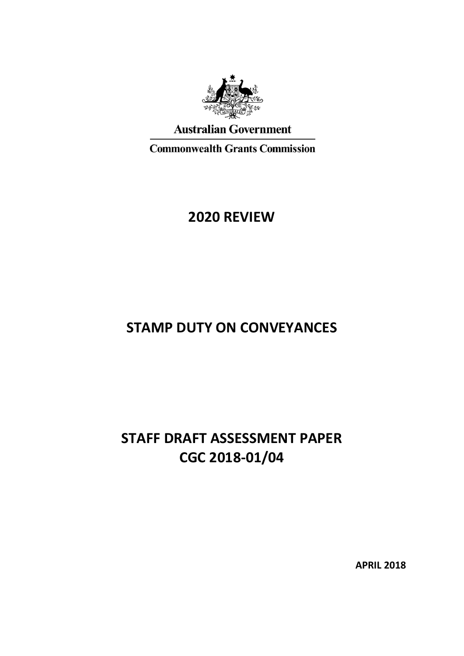

# **Australian Government**

**Commonwealth Grants Commission** 

# **2020 REVIEW**

# **STAMP DUTY ON CONVEYANCES**

# **STAFF DRAFT ASSESSMENT PAPER CGC 2018-01/04**

**APRIL 2018**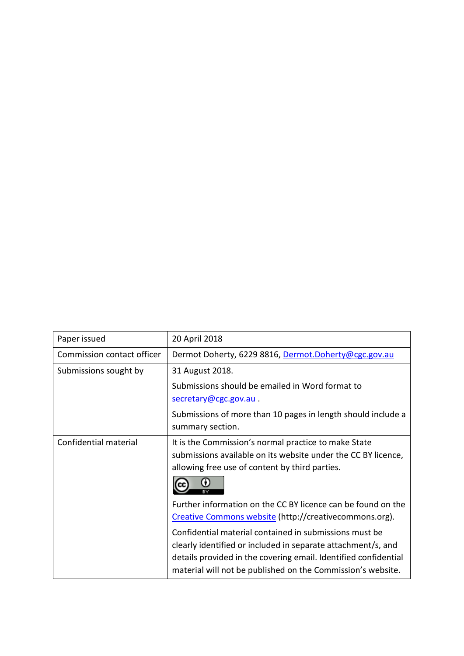| Paper issued               | 20 April 2018                                                                                                                                                                                                                                            |
|----------------------------|----------------------------------------------------------------------------------------------------------------------------------------------------------------------------------------------------------------------------------------------------------|
| Commission contact officer | Dermot Doherty, 6229 8816, Dermot.Doherty@cgc.gov.au                                                                                                                                                                                                     |
| Submissions sought by      | 31 August 2018.                                                                                                                                                                                                                                          |
|                            | Submissions should be emailed in Word format to                                                                                                                                                                                                          |
|                            | secretary@cgc.gov.au.                                                                                                                                                                                                                                    |
|                            | Submissions of more than 10 pages in length should include a<br>summary section.                                                                                                                                                                         |
| Confidential material      | It is the Commission's normal practice to make State<br>submissions available on its website under the CC BY licence,<br>allowing free use of content by third parties.                                                                                  |
|                            | Further information on the CC BY licence can be found on the<br>Creative Commons website (http://creativecommons.org).                                                                                                                                   |
|                            | Confidential material contained in submissions must be<br>clearly identified or included in separate attachment/s, and<br>details provided in the covering email. Identified confidential<br>material will not be published on the Commission's website. |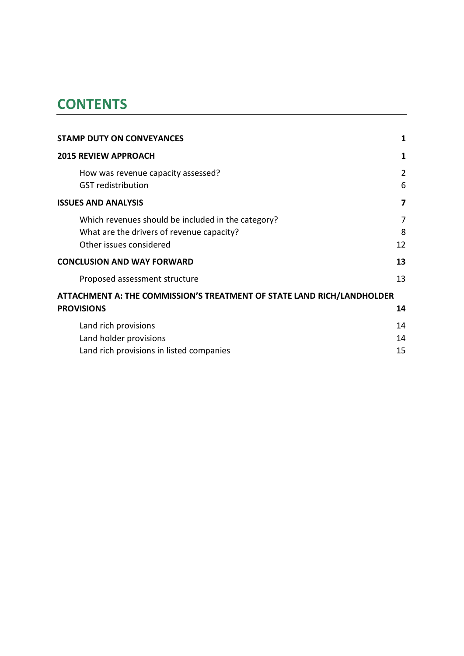# **CONTENTS**

| <b>STAMP DUTY ON CONVEYANCES</b>                                       | 1              |
|------------------------------------------------------------------------|----------------|
| <b>2015 REVIEW APPROACH</b>                                            | 1              |
| How was revenue capacity assessed?                                     | $\overline{2}$ |
| <b>GST</b> redistribution                                              | 6              |
| <b>ISSUES AND ANALYSIS</b>                                             | 7              |
| Which revenues should be included in the category?                     | 7              |
| What are the drivers of revenue capacity?                              | 8              |
| Other issues considered                                                | 12             |
| <b>CONCLUSION AND WAY FORWARD</b>                                      | 13             |
| Proposed assessment structure                                          | 13             |
| ATTACHMENT A: THE COMMISSION'S TREATMENT OF STATE LAND RICH/LANDHOLDER |                |
| <b>PROVISIONS</b>                                                      | 14             |
| Land rich provisions                                                   | 14             |
| Land holder provisions                                                 | 14             |
| Land rich provisions in listed companies                               | 15             |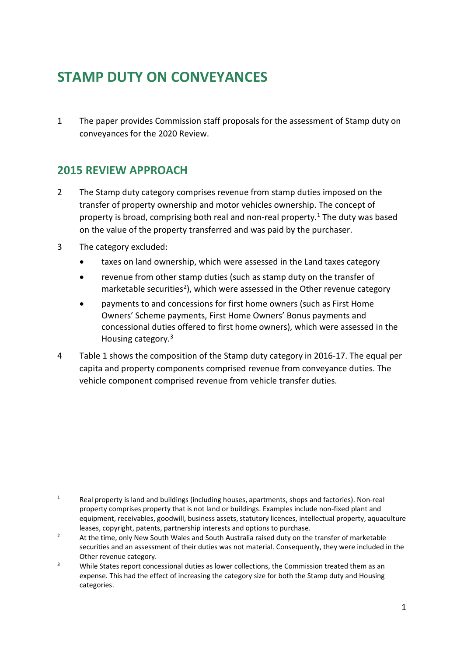# <span id="page-3-0"></span>**STAMP DUTY ON CONVEYANCES**

1 The paper provides Commission staff proposals for the assessment of Stamp duty on conveyances for the 2020 Review.

## <span id="page-3-1"></span>**2015 REVIEW APPROACH**

- 2 The Stamp duty category comprises revenue from stamp duties imposed on the transfer of property ownership and motor vehicles ownership. The concept of property is broad, comprising both real and non-real property.[1](#page-3-2) The duty was based on the value of the property transferred and was paid by the purchaser.
- 3 The category excluded:

 $\overline{a}$ 

- taxes on land ownership, which were assessed in the Land taxes category
- revenue from other stamp duties (such as stamp duty on the transfer of marketable securities<sup>2</sup>), which were assessed in the Other revenue category
- payments to and concessions for first home owners (such as First Home Owners' Scheme payments, First Home Owners' Bonus payments and concessional duties offered to first home owners), which were assessed in the Housing category.<sup>[3](#page-3-4)</sup>
- 4 [Table](#page-4-1) 1 shows the composition of the Stamp duty category in 2016-17. The equal per capita and property components comprised revenue from conveyance duties. The vehicle component comprised revenue from vehicle transfer duties.

<span id="page-3-2"></span><sup>&</sup>lt;sup>1</sup> Real property is land and buildings (including houses, apartments, shops and factories). Non-real property comprises property that is not land or buildings. Examples include non-fixed plant and equipment, receivables, goodwill, business assets, statutory licences, intellectual property, aquaculture leases, copyright, patents, partnership interests and options to purchase.

<span id="page-3-3"></span><sup>&</sup>lt;sup>2</sup> At the time, only New South Wales and South Australia raised duty on the transfer of marketable securities and an assessment of their duties was not material. Consequently, they were included in the Other revenue category.

<span id="page-3-4"></span><sup>&</sup>lt;sup>3</sup> While States report concessional duties as lower collections, the Commission treated them as an expense. This had the effect of increasing the category size for both the Stamp duty and Housing categories.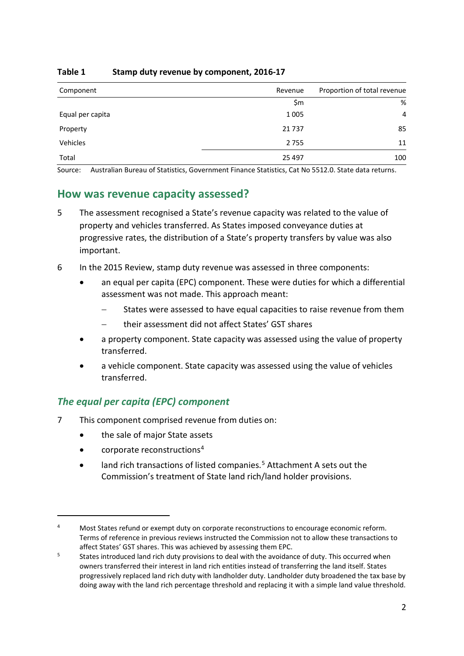| Component        | Revenue | Proportion of total revenue |
|------------------|---------|-----------------------------|
|                  | \$m     | %                           |
| Equal per capita | 1 0 0 5 | 4                           |
| Property         | 21737   | 85                          |
| Vehicles         | 2755    | 11                          |
| Total            | 25 4 97 | 100                         |

#### <span id="page-4-1"></span>**Table 1 Stamp duty revenue by component, 2016-17**

<span id="page-4-0"></span>Source: Australian Bureau of Statistics, Government Finance Statistics, Cat No 5512.0. State data returns.

### **How was revenue capacity assessed?**

- 5 The assessment recognised a State's revenue capacity was related to the value of property and vehicles transferred. As States imposed conveyance duties at progressive rates, the distribution of a State's property transfers by value was also important.
- 6 In the 2015 Review, stamp duty revenue was assessed in three components:
	- an equal per capita (EPC) component. These were duties for which a differential assessment was not made. This approach meant:
		- States were assessed to have equal capacities to raise revenue from them
		- − their assessment did not affect States' GST shares
	- a property component. State capacity was assessed using the value of property transferred.
	- a vehicle component. State capacity was assessed using the value of vehicles transferred.

#### *The equal per capita (EPC) component*

- 7 This component comprised revenue from duties on:
	- the sale of major State assets
	- $\bullet$  corporate reconstructions<sup>[4](#page-4-2)</sup>

 $\overline{a}$ 

• land rich transactions of listed companies.<sup>[5](#page-4-3)</sup> Attachment A sets out the Commission's treatment of State land rich/land holder provisions.

<span id="page-4-2"></span><sup>&</sup>lt;sup>4</sup> Most States refund or exempt duty on corporate reconstructions to encourage economic reform. Terms of reference in previous reviews instructed the Commission not to allow these transactions to affect States' GST shares. This was achieved by assessing them EPC.

<span id="page-4-3"></span><sup>&</sup>lt;sup>5</sup> States introduced land rich duty provisions to deal with the avoidance of duty. This occurred when owners transferred their interest in land rich entities instead of transferring the land itself. States progressively replaced land rich duty with landholder duty. Landholder duty broadened the tax base by doing away with the land rich percentage threshold and replacing it with a simple land value threshold.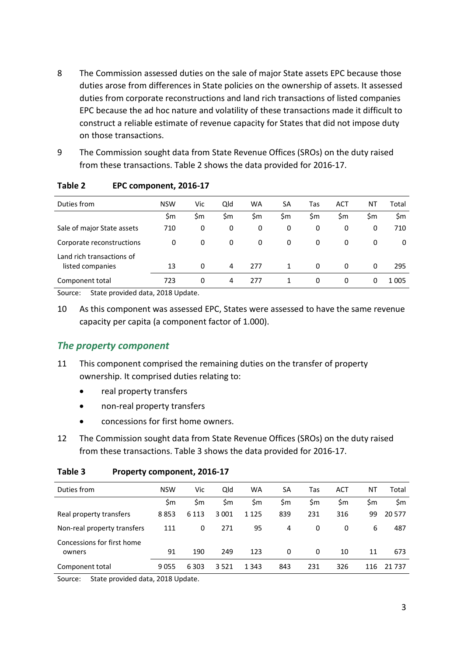- 8 The Commission assessed duties on the sale of major State assets EPC because those duties arose from differences in State policies on the ownership of assets. It assessed duties from corporate reconstructions and land rich transactions of listed companies EPC because the ad hoc nature and volatility of these transactions made it difficult to construct a reliable estimate of revenue capacity for States that did not impose duty on those transactions.
- 9 The Commission sought data from State Revenue Offices (SROs) on the duty raised from these transactions. [Table 2](#page-5-0) shows the data provided for 2016-17.

| Duties from                | <b>NSW</b> | Vic | Qld | <b>WA</b> | SA  | Tas | <b>ACT</b>   | ΝT  | Total   |
|----------------------------|------------|-----|-----|-----------|-----|-----|--------------|-----|---------|
|                            | \$m        | \$m | \$m | \$m       | \$m | \$m | \$m          | \$m | \$m     |
| Sale of major State assets | 710        | 0   | 0   | 0         | 0   | 0   | 0            | 0   | 710     |
| Corporate reconstructions  | 0          | 0   | 0   | 0         | 0   | 0   | 0            | 0   | 0       |
| Land rich transactions of  |            |     |     |           |     |     |              |     |         |
| listed companies           | 13         | 0   | 4   | 277       | 1   | 0   | 0            | 0   | 295     |
| Component total            | 723        | 0   | 4   | 277       | 1   | 0   | $\mathbf{0}$ | 0   | 1 0 0 5 |

#### <span id="page-5-0"></span>**Table 2 EPC component, 2016-17**

Source: State provided data, 2018 Update.

10 As this component was assessed EPC, States were assessed to have the same revenue capacity per capita (a component factor of 1.000).

### *The property component*

- 11 This component comprised the remaining duties on the transfer of property ownership. It comprised duties relating to:
	- real property transfers
	- non-real property transfers
	- concessions for first home owners.
- 12 The Commission sought data from State Revenue Offices (SROs) on the duty raised from these transactions. [Table 3](#page-5-1) shows the data provided for 2016-17.

<span id="page-5-1"></span>

| Table 3 | Property component, 2016-17 |  |
|---------|-----------------------------|--|
|         |                             |  |

| Duties from                 | <b>NSW</b> | Vic     | Qld     | WA      | SA  | Tas | ACT | NT  | Total    |
|-----------------------------|------------|---------|---------|---------|-----|-----|-----|-----|----------|
|                             | \$m        | \$m     | Sm      | \$m     | \$m | \$m | \$m | \$m | \$m      |
| Real property transfers     | 8853       | 6 1 1 3 | 3 0 0 1 | 1 1 2 5 | 839 | 231 | 316 | 99  | 20 577   |
| Non-real property transfers | 111        | 0       | 271     | 95      | 4   | 0   | 0   | 6   | 487      |
| Concessions for first home  |            |         |         |         |     |     |     |     |          |
| owners                      | 91         | 190     | 249     | 123     | 0   | 0   | 10  | 11  | 673      |
| Component total             | 9055       | 6 3 0 3 | 3521    | 1 3 4 3 | 843 | 231 | 326 | 116 | 21 7 3 7 |

Source: State provided data, 2018 Update.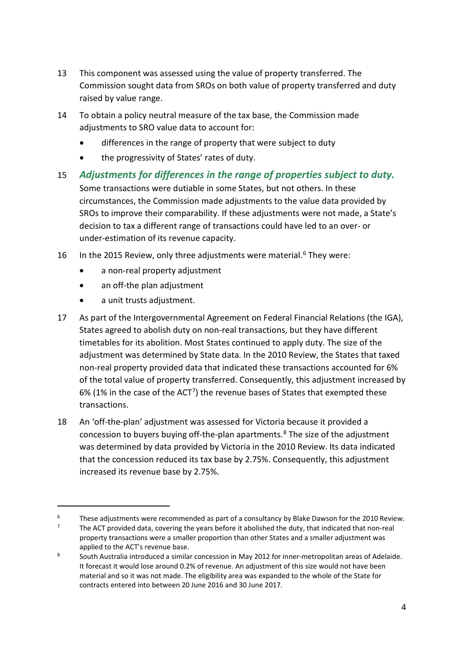- 13 This component was assessed using the value of property transferred. The Commission sought data from SROs on both value of property transferred and duty raised by value range.
- 14 To obtain a policy neutral measure of the tax base, the Commission made adjustments to SRO value data to account for:
	- differences in the range of property that were subject to duty
	- the progressivity of States' rates of duty.
- 15 *Adjustments for differences in the range of properties subject to duty.* Some transactions were dutiable in some States, but not others. In these circumstances, the Commission made adjustments to the value data provided by SROs to improve their comparability. If these adjustments were not made, a State's decision to tax a different range of transactions could have led to an over- or under-estimation of its revenue capacity.
- 1[6](#page-6-0) In the 2015 Review, only three adjustments were material.<sup>6</sup> They were:
	- a non-real property adjustment
	- an off-the plan adjustment
	- a unit trusts adjustment.

 $\overline{a}$ 

- 17 As part of the Intergovernmental Agreement on Federal Financial Relations (the IGA), States agreed to abolish duty on non-real transactions, but they have different timetables for its abolition. Most States continued to apply duty. The size of the adjustment was determined by State data. In the 2010 Review, the States that taxed non-real property provided data that indicated these transactions accounted for 6% of the total value of property transferred. Consequently, this adjustment increased by 6% (1% in the case of the ACT[7\)](#page-6-1) the revenue bases of States that exempted these transactions.
- 18 An 'off-the-plan' adjustment was assessed for Victoria because it provided a concession to buyers buying off-the-plan apartments.[8](#page-6-2) The size of the adjustment was determined by data provided by Victoria in the 2010 Review. Its data indicated that the concession reduced its tax base by 2.75%. Consequently, this adjustment increased its revenue base by 2.75%.

<span id="page-6-0"></span><sup>&</sup>lt;sup>6</sup> These adjustments were recommended as part of a consultancy by Blake Dawson for the 2010 Review.

<span id="page-6-1"></span>The ACT provided data, covering the years before it abolished the duty, that indicated that non-real property transactions were a smaller proportion than other States and a smaller adjustment was applied to the ACT's revenue base.

<span id="page-6-2"></span><sup>8</sup> South Australia introduced a similar concession in May 2012 for inner-metropolitan areas of Adelaide. It forecast it would lose around 0.2% of revenue. An adjustment of this size would not have been material and so it was not made. The eligibility area was expanded to the whole of the State for contracts entered into between 20 June 2016 and 30 June 2017.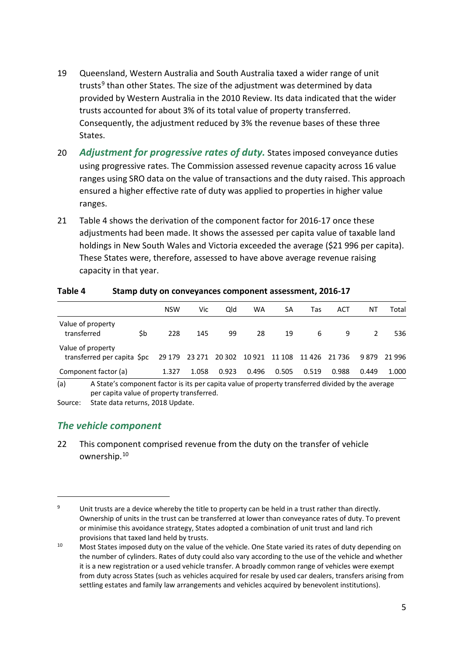- 19 Queensland, Western Australia and South Australia taxed a wider range of unit trusts<sup>[9](#page-7-1)</sup> than other States. The size of the adjustment was determined by data provided by Western Australia in the 2010 Review. Its data indicated that the wider trusts accounted for about 3% of its total value of property transferred. Consequently, the adjustment reduced by 3% the revenue bases of these three States.
- 20 *Adjustment for progressive rates of duty.* States imposed conveyance duties using progressive rates. The Commission assessed revenue capacity across 16 value ranges using SRO data on the value of transactions and the duty raised. This approach ensured a higher effective rate of duty was applied to properties in higher value ranges.
- 21 [Table](#page-7-0) 4 shows the derivation of the component factor for 2016-17 once these adjustments had been made. It shows the assessed per capita value of taxable land holdings in New South Wales and Victoria exceeded the average (\$21 996 per capita). These States were, therefore, assessed to have above average revenue raising capacity in that year.

|                                                                                                          |        | <b>NSW</b> | Vic   | Old           | WA    | SA            | Tas   | ACT    | ΝT    | Total |
|----------------------------------------------------------------------------------------------------------|--------|------------|-------|---------------|-------|---------------|-------|--------|-------|-------|
| Value of property<br>transferred                                                                         | \$b    | 228        | 145   | 99            | 28    | 19            | 6     | 9      |       | 536   |
| Value of property<br>transferred per capita Spc                                                          | 23 271 | 20 302     |       | 10 921 11 108 |       | 11 426 21 736 | 9879  | 21 996 |       |       |
| Component factor (a)                                                                                     |        | 1.327      | 1.058 | 0.923         | 0.496 | 0.505         | 0.519 | 0.988  | 0.449 | 1.000 |
| (a)<br>A State's component factor is its per capita value of property transferred divided by the average |        |            |       |               |       |               |       |        |       |       |

#### <span id="page-7-0"></span>**Table 4 Stamp duty on conveyances component assessment, 2016-17**

(a) A State's component factor is its per capita value of property transferred divided by the average per capita value of property transferred.

Source: State data returns, 2018 Update.

### *The vehicle component*

 $\overline{a}$ 

22 This component comprised revenue from the duty on the transfer of vehicle ownership.[10](#page-7-2)

<span id="page-7-1"></span><sup>&</sup>lt;sup>9</sup> Unit trusts are a device whereby the title to property can be held in a trust rather than directly. Ownership of units in the trust can be transferred at lower than conveyance rates of duty. To prevent or minimise this avoidance strategy, States adopted a combination of unit trust and land rich provisions that taxed land held by trusts.

<span id="page-7-2"></span><sup>&</sup>lt;sup>10</sup> Most States imposed duty on the value of the vehicle. One State varied its rates of duty depending on the number of cylinders. Rates of duty could also vary according to the use of the vehicle and whether it is a new registration or a used vehicle transfer. A broadly common range of vehicles were exempt from duty across States (such as vehicles acquired for resale by used car dealers, transfers arising from settling estates and family law arrangements and vehicles acquired by benevolent institutions).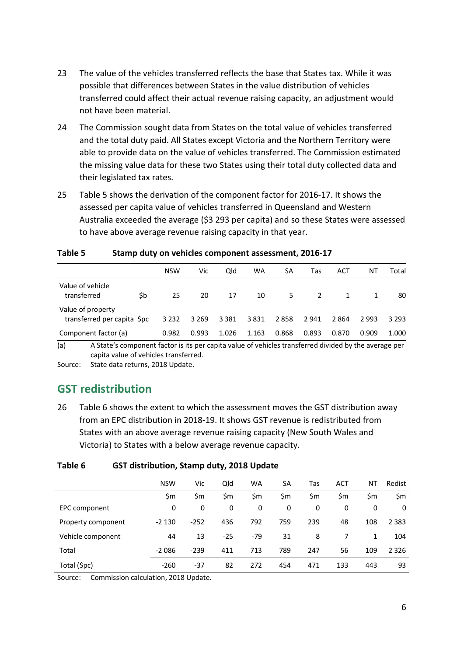- 23 The value of the vehicles transferred reflects the base that States tax. While it was possible that differences between States in the value distribution of vehicles transferred could affect their actual revenue raising capacity, an adjustment would not have been material.
- 24 The Commission sought data from States on the total value of vehicles transferred and the total duty paid. All States except Victoria and the Northern Territory were able to provide data on the value of vehicles transferred. The Commission estimated the missing value data for these two States using their total duty collected data and their legislated tax rates.
- 25 [Table](#page-8-1) 5 shows the derivation of the component factor for 2016-17. It shows the assessed per capita value of vehicles transferred in Queensland and Western Australia exceeded the average (\$3 293 per capita) and so these States were assessed to have above average revenue raising capacity in that year.

|                                                 |     | <b>NSW</b> | Vic     | Qld     | WA    | SA    | Tas   | ACT   | ΝT    | Total   |
|-------------------------------------------------|-----|------------|---------|---------|-------|-------|-------|-------|-------|---------|
| Value of vehicle<br>transferred                 | \$b | 25         | 20      | 17      | 10    | 5.    | 2     |       |       | 80      |
| Value of property<br>transferred per capita Spc |     | 3 2 3 2    | 3 2 6 9 | 3 3 8 1 | 3831  | 2858  | 2941  | 2864  | 2993  | 3 2 9 3 |
| Component factor (a)                            |     | 0.982      | 0.993   | 1.026   | 1.163 | 0.868 | 0.893 | 0.870 | 0.909 | 1.000   |

#### <span id="page-8-1"></span>**Table 5 Stamp duty on vehicles component assessment, 2016-17**

(a) A State's component factor is its per capita value of vehicles transferred divided by the average per capita value of vehicles transferred.

<span id="page-8-0"></span>Source: State data returns, 2018 Update.

## **GST redistribution**

26 [Table](#page-8-2) 6 shows the extent to which the assessment moves the GST distribution away from an EPC distribution in 2018-19. It shows GST revenue is redistributed from States with an above average revenue raising capacity (New South Wales and Victoria) to States with a below average revenue capacity.

#### <span id="page-8-2"></span>**Table 6 GST distribution, Stamp duty, 2018 Update**

|                    | <b>NSW</b> | Vic    | Qld   | <b>WA</b> | <b>SA</b> | Tas | <b>ACT</b> | ΝT  | Redist  |
|--------------------|------------|--------|-------|-----------|-----------|-----|------------|-----|---------|
|                    | \$m        | \$m    | \$m   | \$m       | \$m       | \$m | \$m        | \$m | \$m     |
| EPC component      | 0          | 0      | 0     | 0         | 0         | 0   | 0          | 0   | 0       |
| Property component | $-2130$    | $-252$ | 436   | 792       | 759       | 239 | 48         | 108 | 2 3 8 3 |
| Vehicle component  | 44         | 13     | $-25$ | $-79$     | 31        | 8   |            | 1   | 104     |
| Total              | $-2086$    | $-239$ | 411   | 713       | 789       | 247 | 56         | 109 | 2 3 2 6 |
| Total (\$pc)       | $-260$     | $-37$  | 82    | 272       | 454       | 471 | 133        | 443 | 93      |

Source: Commission calculation, 2018 Update.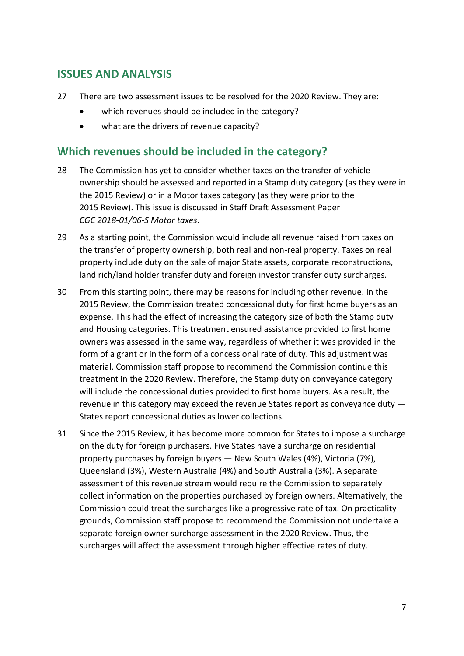## <span id="page-9-0"></span>**ISSUES AND ANALYSIS**

- 27 There are two assessment issues to be resolved for the 2020 Review. They are:
	- which revenues should be included in the category?
	- what are the drivers of revenue capacity?

## <span id="page-9-1"></span>**Which revenues should be included in the category?**

- 28 The Commission has yet to consider whether taxes on the transfer of vehicle ownership should be assessed and reported in a Stamp duty category (as they were in the 2015 Review) or in a Motor taxes category (as they were prior to the 2015 Review). This issue is discussed in Staff Draft Assessment Paper *CGC 2018-01/06-S Motor taxes*.
- 29 As a starting point, the Commission would include all revenue raised from taxes on the transfer of property ownership, both real and non-real property. Taxes on real property include duty on the sale of major State assets, corporate reconstructions, land rich/land holder transfer duty and foreign investor transfer duty surcharges.
- 30 From this starting point, there may be reasons for including other revenue. In the 2015 Review, the Commission treated concessional duty for first home buyers as an expense. This had the effect of increasing the category size of both the Stamp duty and Housing categories. This treatment ensured assistance provided to first home owners was assessed in the same way, regardless of whether it was provided in the form of a grant or in the form of a concessional rate of duty. This adjustment was material. Commission staff propose to recommend the Commission continue this treatment in the 2020 Review. Therefore, the Stamp duty on conveyance category will include the concessional duties provided to first home buyers. As a result, the revenue in this category may exceed the revenue States report as conveyance duty — States report concessional duties as lower collections.
- 31 Since the 2015 Review, it has become more common for States to impose a surcharge on the duty for foreign purchasers. Five States have a surcharge on residential property purchases by foreign buyers — New South Wales (4%), Victoria (7%), Queensland (3%), Western Australia (4%) and South Australia (3%). A separate assessment of this revenue stream would require the Commission to separately collect information on the properties purchased by foreign owners. Alternatively, the Commission could treat the surcharges like a progressive rate of tax. On practicality grounds, Commission staff propose to recommend the Commission not undertake a separate foreign owner surcharge assessment in the 2020 Review. Thus, the surcharges will affect the assessment through higher effective rates of duty.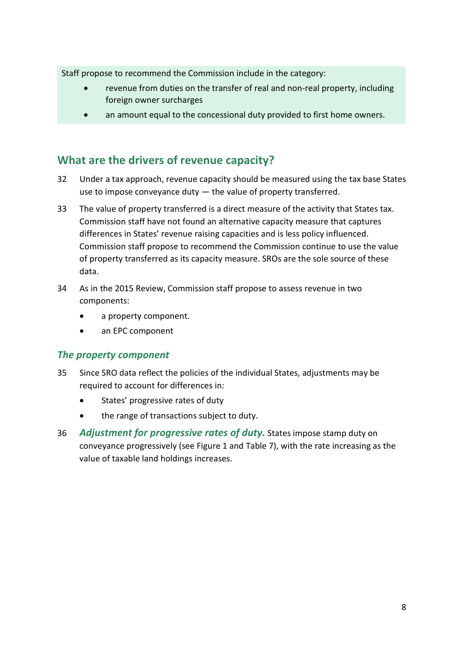Staff propose to recommend the Commission include in the category:

- revenue from duties on the transfer of real and non-real property, including foreign owner surcharges
- an amount equal to the concessional duty provided to first home owners.

## <span id="page-10-0"></span>**What are the drivers of revenue capacity?**

- 32 Under a tax approach, revenue capacity should be measured using the tax base States use to impose conveyance duty — the value of property transferred.
- 33 The value of property transferred is a direct measure of the activity that States tax. Commission staff have not found an alternative capacity measure that captures differences in States' revenue raising capacities and is less policy influenced. Commission staff propose to recommend the Commission continue to use the value of property transferred as its capacity measure. SROs are the sole source of these data.
- 34 As in the 2015 Review, Commission staff propose to assess revenue in two components:
	- a property component.
	- an EPC component

### *The property component*

- 35 Since SRO data reflect the policies of the individual States, adjustments may be required to account for differences in:
	- States' progressive rates of duty
	- the range of transactions subject to duty.
- 36 *Adjustment for progressive rates of duty.* States impose stamp duty on conveyance progressively (see [Figure 1](#page-11-0) and [Table](#page-11-1) 7), with the rate increasing as the value of taxable land holdings increases.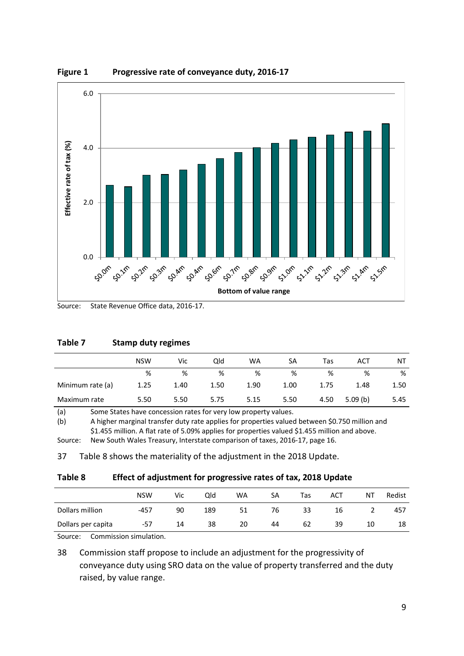

<span id="page-11-0"></span>**Figure 1 Progressive rate of conveyance duty, 2016-17**

#### <span id="page-11-1"></span>**Table 7 Stamp duty regimes**

|                  | <b>NSW</b> | Vic  | Old  | WA   | SA   | Tas  | ACT     | ΝT   |
|------------------|------------|------|------|------|------|------|---------|------|
|                  | %          | %    | %    | %    | %    | %    | %       | %    |
| Minimum rate (a) | 1.25       | 1.40 | 1.50 | 1.90 | 1.00 | 1.75 | 1.48    | 1.50 |
| Maximum rate     | 5.50       | 5.50 | 5.75 | 5.15 | 5.50 | 4.50 | 5.09(b) | 5.45 |

(a) Some States have concession rates for very low property values.

(b) A higher marginal transfer duty rate applies for properties valued between \$0.750 million and \$1.455 million. A flat rate of 5.09% applies for properties valued \$1.455 million and above.

Source: New South Wales Treasury, Interstate comparison of taxes, 2016-17, page 16.

37 [Table 8](#page-11-2) shows the materiality of the adjustment in the 2018 Update.

<span id="page-11-2"></span>

| Table 8 | Effect of adjustment for progressive rates of tax, 2018 Update |
|---------|----------------------------------------------------------------|
|---------|----------------------------------------------------------------|

|                    | <b>NSW</b> | Vic | Old | <b>WA</b> | SA | Tas | <b>ACT</b> | ΝT | Redist |
|--------------------|------------|-----|-----|-----------|----|-----|------------|----|--------|
| Dollars million    | $-457$     | 90  | 189 | 51        | 76 | 33  | 16         |    | 457    |
| Dollars per capita | -57        | 14  | 38  | 20        | 44 | 62  | 39         | 10 | 18     |

Source: Commission simulation.

38 Commission staff propose to include an adjustment for the progressivity of conveyance duty using SRO data on the value of property transferred and the duty raised, by value range.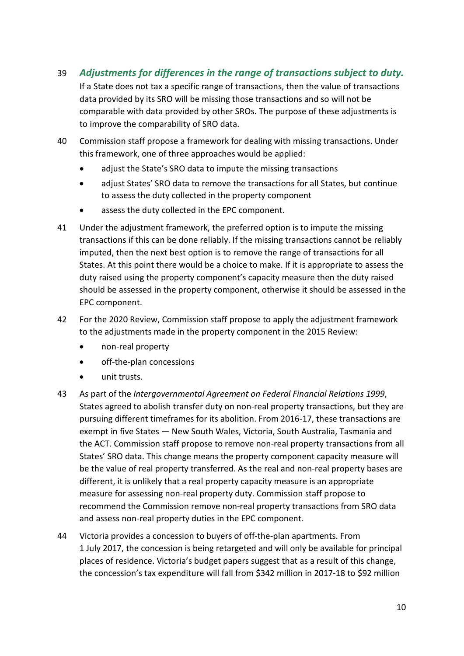- 39 *Adjustments for differences in the range of transactions subject to duty.* If a State does not tax a specific range of transactions, then the value of transactions data provided by its SRO will be missing those transactions and so will not be comparable with data provided by other SROs. The purpose of these adjustments is to improve the comparability of SRO data.
- 40 Commission staff propose a framework for dealing with missing transactions. Under this framework, one of three approaches would be applied:
	- adjust the State's SRO data to impute the missing transactions
	- adjust States' SRO data to remove the transactions for all States, but continue to assess the duty collected in the property component
	- assess the duty collected in the EPC component.
- 41 Under the adjustment framework, the preferred option is to impute the missing transactions if this can be done reliably. If the missing transactions cannot be reliably imputed, then the next best option is to remove the range of transactions for all States. At this point there would be a choice to make. If it is appropriate to assess the duty raised using the property component's capacity measure then the duty raised should be assessed in the property component, otherwise it should be assessed in the EPC component.
- 42 For the 2020 Review, Commission staff propose to apply the adjustment framework to the adjustments made in the property component in the 2015 Review:
	- non-real property
	- off-the-plan concessions
	- unit trusts.
- 43 As part of the *Intergovernmental Agreement on Federal Financial Relations 1999*, States agreed to abolish transfer duty on non-real property transactions, but they are pursuing different timeframes for its abolition. From 2016-17, these transactions are exempt in five States — New South Wales, Victoria, South Australia, Tasmania and the ACT. Commission staff propose to remove non-real property transactions from all States' SRO data. This change means the property component capacity measure will be the value of real property transferred. As the real and non-real property bases are different, it is unlikely that a real property capacity measure is an appropriate measure for assessing non-real property duty. Commission staff propose to recommend the Commission remove non-real property transactions from SRO data and assess non-real property duties in the EPC component.
- 44 Victoria provides a concession to buyers of off-the-plan apartments. From 1 July 2017, the concession is being retargeted and will only be available for principal places of residence. Victoria's budget papers suggest that as a result of this change, the concession's tax expenditure will fall from \$342 million in 2017-18 to \$92 million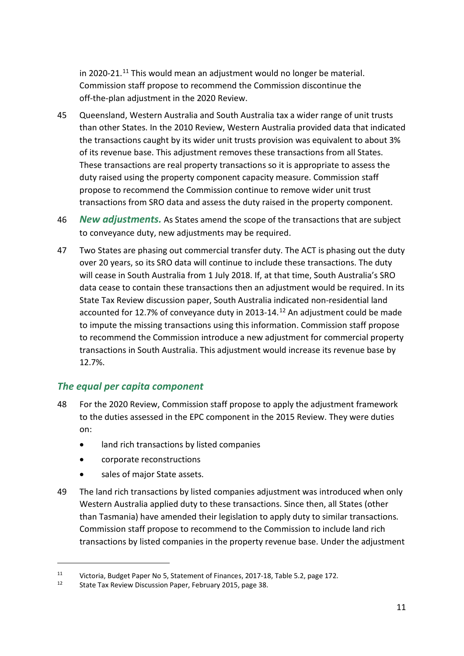in 2020-21.<sup>[11](#page-13-0)</sup> This would mean an adjustment would no longer be material. Commission staff propose to recommend the Commission discontinue the off-the-plan adjustment in the 2020 Review.

- 45 Queensland, Western Australia and South Australia tax a wider range of unit trusts than other States. In the 2010 Review, Western Australia provided data that indicated the transactions caught by its wider unit trusts provision was equivalent to about 3% of its revenue base. This adjustment removes these transactions from all States. These transactions are real property transactions so it is appropriate to assess the duty raised using the property component capacity measure. Commission staff propose to recommend the Commission continue to remove wider unit trust transactions from SRO data and assess the duty raised in the property component.
- 46 *New adjustments.* As States amend the scope of the transactions that are subject to conveyance duty, new adjustments may be required.
- 47 Two States are phasing out commercial transfer duty. The ACT is phasing out the duty over 20 years, so its SRO data will continue to include these transactions. The duty will cease in South Australia from 1 July 2018. If, at that time, South Australia's SRO data cease to contain these transactions then an adjustment would be required. In its State Tax Review discussion paper, South Australia indicated non-residential land accounted for [12](#page-13-1).7% of conveyance duty in 2013-14.<sup>12</sup> An adjustment could be made to impute the missing transactions using this information. Commission staff propose to recommend the Commission introduce a new adjustment for commercial property transactions in South Australia. This adjustment would increase its revenue base by 12.7%.

### *The equal per capita component*

- 48 For the 2020 Review, Commission staff propose to apply the adjustment framework to the duties assessed in the EPC component in the 2015 Review. They were duties on:
	- land rich transactions by listed companies
	- corporate reconstructions
	- sales of major State assets.

 $\overline{a}$ 

49 The land rich transactions by listed companies adjustment was introduced when only Western Australia applied duty to these transactions. Since then, all States (other than Tasmania) have amended their legislation to apply duty to similar transactions. Commission staff propose to recommend to the Commission to include land rich transactions by listed companies in the property revenue base. Under the adjustment

<span id="page-13-1"></span><span id="page-13-0"></span><sup>11</sup> Victoria, Budget Paper No 5, Statement of Finances, 2017-18, Table 5.2, page 172.

State Tax Review Discussion Paper, February 2015, page 38.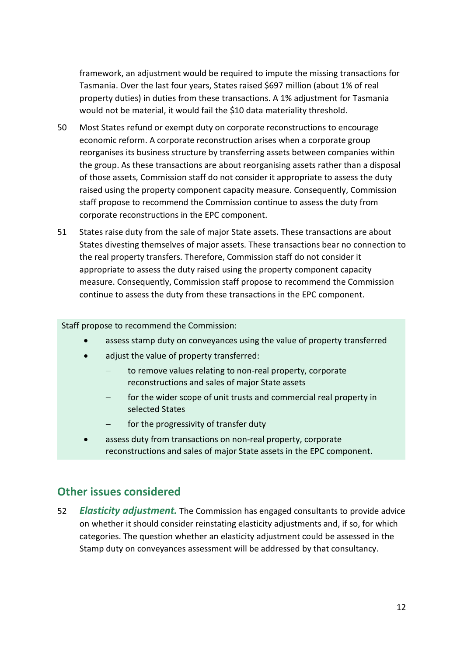framework, an adjustment would be required to impute the missing transactions for Tasmania. Over the last four years, States raised \$697 million (about 1% of real property duties) in duties from these transactions. A 1% adjustment for Tasmania would not be material, it would fail the \$10 data materiality threshold.

- 50 Most States refund or exempt duty on corporate reconstructions to encourage economic reform. A corporate reconstruction arises when a corporate group reorganises its business structure by transferring assets between companies within the group. As these transactions are about reorganising assets rather than a disposal of those assets, Commission staff do not consider it appropriate to assess the duty raised using the property component capacity measure. Consequently, Commission staff propose to recommend the Commission continue to assess the duty from corporate reconstructions in the EPC component.
- 51 States raise duty from the sale of major State assets. These transactions are about States divesting themselves of major assets. These transactions bear no connection to the real property transfers. Therefore, Commission staff do not consider it appropriate to assess the duty raised using the property component capacity measure. Consequently, Commission staff propose to recommend the Commission continue to assess the duty from these transactions in the EPC component.

#### Staff propose to recommend the Commission:

- assess stamp duty on conveyances using the value of property transferred
- adjust the value of property transferred:
	- to remove values relating to non-real property, corporate reconstructions and sales of major State assets
	- for the wider scope of unit trusts and commercial real property in selected States
	- for the progressivity of transfer duty
- assess duty from transactions on non-real property, corporate reconstructions and sales of major State assets in the EPC component.

### <span id="page-14-0"></span>**Other issues considered**

52 *Elasticity adjustment.* The Commission has engaged consultants to provide advice on whether it should consider reinstating elasticity adjustments and, if so, for which categories. The question whether an elasticity adjustment could be assessed in the Stamp duty on conveyances assessment will be addressed by that consultancy.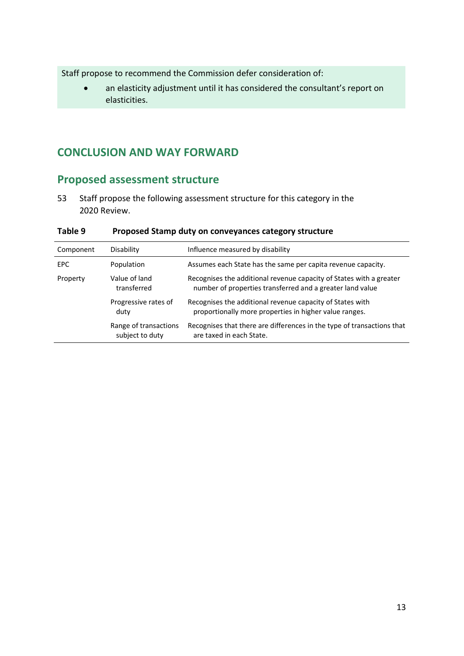Staff propose to recommend the Commission defer consideration of:

• an elasticity adjustment until it has considered the consultant's report on elasticities.

## <span id="page-15-0"></span>**CONCLUSION AND WAY FORWARD**

# <span id="page-15-1"></span>**Proposed assessment structure**

53 Staff propose the following assessment structure for this category in the 2020 Review.

| Component  | Disability                               | Influence measured by disability                                                                                                 |
|------------|------------------------------------------|----------------------------------------------------------------------------------------------------------------------------------|
| <b>EPC</b> | Population                               | Assumes each State has the same per capita revenue capacity.                                                                     |
| Property   | Value of land<br>transferred             | Recognises the additional revenue capacity of States with a greater<br>number of properties transferred and a greater land value |
|            | Progressive rates of<br>duty             | Recognises the additional revenue capacity of States with<br>proportionally more properties in higher value ranges.              |
|            | Range of transactions<br>subject to duty | Recognises that there are differences in the type of transactions that<br>are taxed in each State.                               |

**Table 9 Proposed Stamp duty on conveyances category structure**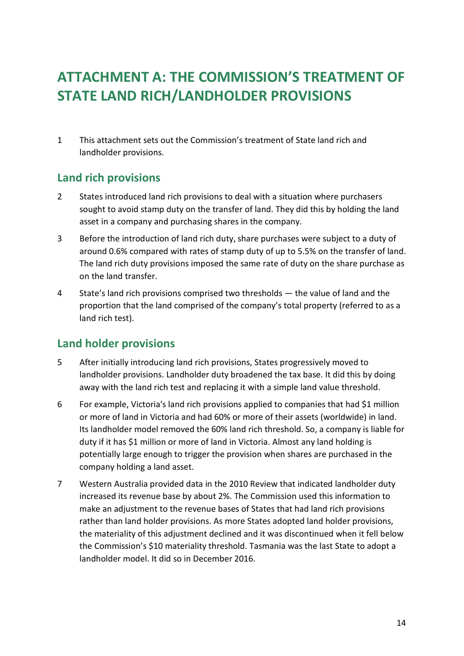# <span id="page-16-0"></span>**ATTACHMENT A: THE COMMISSION'S TREATMENT OF STATE LAND RICH/LANDHOLDER PROVISIONS**

1 This attachment sets out the Commission's treatment of State land rich and landholder provisions.

## <span id="page-16-1"></span>**Land rich provisions**

- 2 States introduced land rich provisions to deal with a situation where purchasers sought to avoid stamp duty on the transfer of land. They did this by holding the land asset in a company and purchasing shares in the company.
- 3 Before the introduction of land rich duty, share purchases were subject to a duty of around 0.6% compared with rates of stamp duty of up to 5.5% on the transfer of land. The land rich duty provisions imposed the same rate of duty on the share purchase as on the land transfer.
- 4 State's land rich provisions comprised two thresholds the value of land and the proportion that the land comprised of the company's total property (referred to as a land rich test).

## <span id="page-16-2"></span>**Land holder provisions**

- 5 After initially introducing land rich provisions, States progressively moved to landholder provisions. Landholder duty broadened the tax base. It did this by doing away with the land rich test and replacing it with a simple land value threshold.
- 6 For example, Victoria's land rich provisions applied to companies that had \$1 million or more of land in Victoria and had 60% or more of their assets (worldwide) in land. Its landholder model removed the 60% land rich threshold. So, a company is liable for duty if it has \$1 million or more of land in Victoria. Almost any land holding is potentially large enough to trigger the provision when shares are purchased in the company holding a land asset.
- 7 Western Australia provided data in the 2010 Review that indicated landholder duty increased its revenue base by about 2%. The Commission used this information to make an adjustment to the revenue bases of States that had land rich provisions rather than land holder provisions. As more States adopted land holder provisions, the materiality of this adjustment declined and it was discontinued when it fell below the Commission's \$10 materiality threshold. Tasmania was the last State to adopt a landholder model. It did so in December 2016.